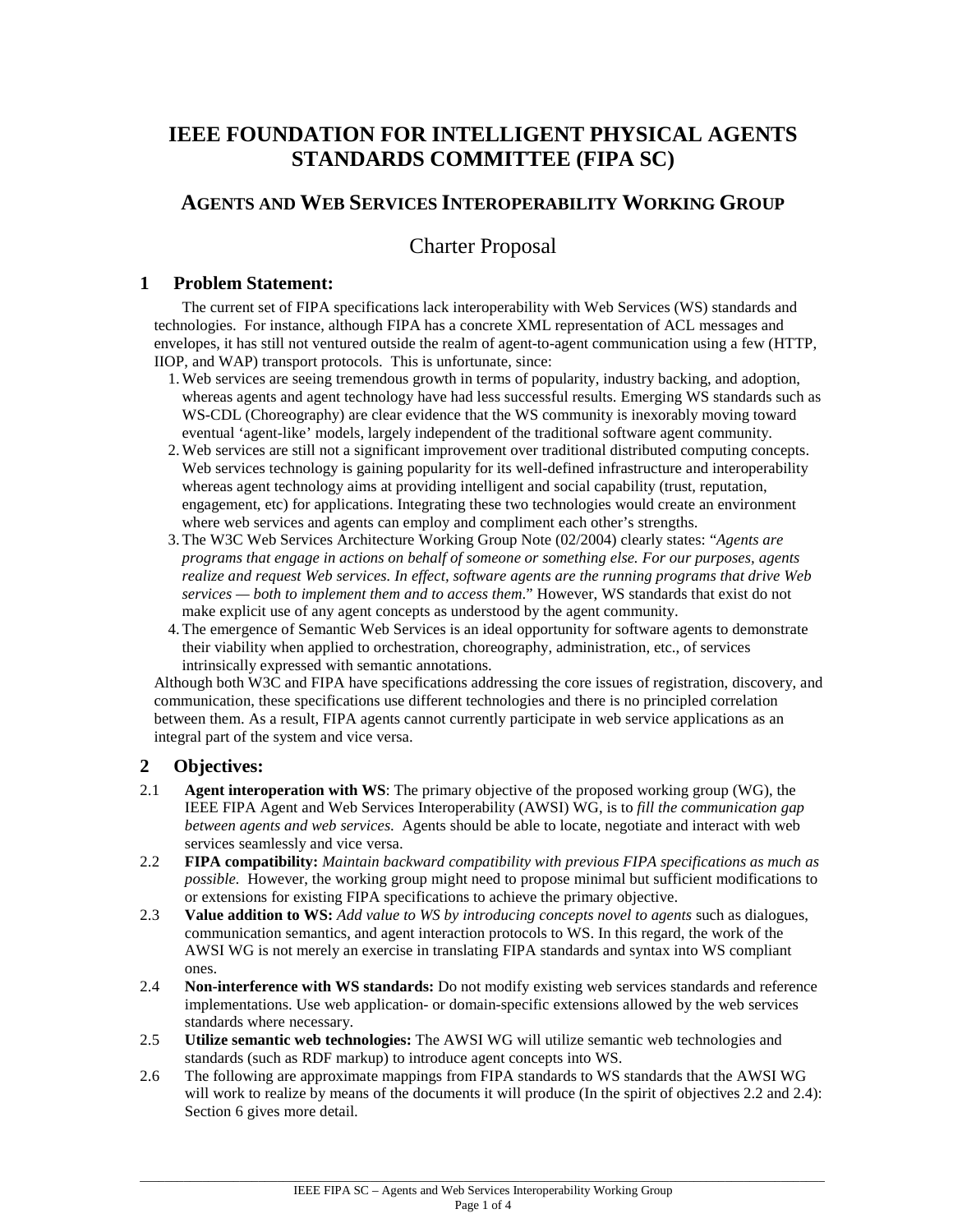# **IEEE FOUNDATION FOR INTELLIGENT PHYSICAL AGENTS STANDARDS COMMITTEE (FIPA SC)**

## **AGENTS AND WEB SERVICES INTEROPERABILITY WORKING GROUP**

## Charter Proposal

## **1 Problem Statement:**

The current set of FIPA specifications lack interoperability with Web Services (WS) standards and technologies. For instance, although FIPA has a concrete XML representation of ACL messages and envelopes, it has still not ventured outside the realm of agent-to-agent communication using a few (HTTP, IIOP, and WAP) transport protocols. This is unfortunate, since:

- 1.Web services are seeing tremendous growth in terms of popularity, industry backing, and adoption, whereas agents and agent technology have had less successful results. Emerging WS standards such as WS-CDL (Choreography) are clear evidence that the WS community is inexorably moving toward eventual 'agent-like' models, largely independent of the traditional software agent community.
- 2.Web services are still not a significant improvement over traditional distributed computing concepts. Web services technology is gaining popularity for its well-defined infrastructure and interoperability whereas agent technology aims at providing intelligent and social capability (trust, reputation, engagement, etc) for applications. Integrating these two technologies would create an environment where web services and agents can employ and compliment each other's strengths.
- 3.The W3C Web Services Architecture Working Group Note (02/2004) clearly states: "*Agents are programs that engage in actions on behalf of someone or something else. For our purposes, agents realize and request Web services. In effect, software agents are the running programs that drive Web services — both to implement them and to access them*." However, WS standards that exist do not make explicit use of any agent concepts as understood by the agent community.
- 4.The emergence of Semantic Web Services is an ideal opportunity for software agents to demonstrate their viability when applied to orchestration, choreography, administration, etc., of services intrinsically expressed with semantic annotations.

Although both W3C and FIPA have specifications addressing the core issues of registration, discovery, and communication, these specifications use different technologies and there is no principled correlation between them. As a result, FIPA agents cannot currently participate in web service applications as an integral part of the system and vice versa.

## **2 Objectives:**

- 2.1 **Agent interoperation with WS**: The primary objective of the proposed working group (WG), the IEEE FIPA Agent and Web Services Interoperability (AWSI) WG, is to *fill the communication gap between agents and web services*. Agents should be able to locate, negotiate and interact with web services seamlessly and vice versa.
- 2.2 **FIPA compatibility:** *Maintain backward compatibility with previous FIPA specifications as much as possible.* However, the working group might need to propose minimal but sufficient modifications to or extensions for existing FIPA specifications to achieve the primary objective.
- 2.3 **Value addition to WS:** *Add value to WS by introducing concepts novel to agents* such as dialogues, communication semantics, and agent interaction protocols to WS. In this regard, the work of the AWSI WG is not merely an exercise in translating FIPA standards and syntax into WS compliant ones.
- 2.4 **Non-interference with WS standards:** Do not modify existing web services standards and reference implementations. Use web application- or domain-specific extensions allowed by the web services standards where necessary.
- 2.5 **Utilize semantic web technologies:** The AWSI WG will utilize semantic web technologies and standards (such as RDF markup) to introduce agent concepts into WS.
- 2.6 The following are approximate mappings from FIPA standards to WS standards that the AWSI WG will work to realize by means of the documents it will produce (In the spirit of objectives 2.2 and 2.4): Section 6 gives more detail.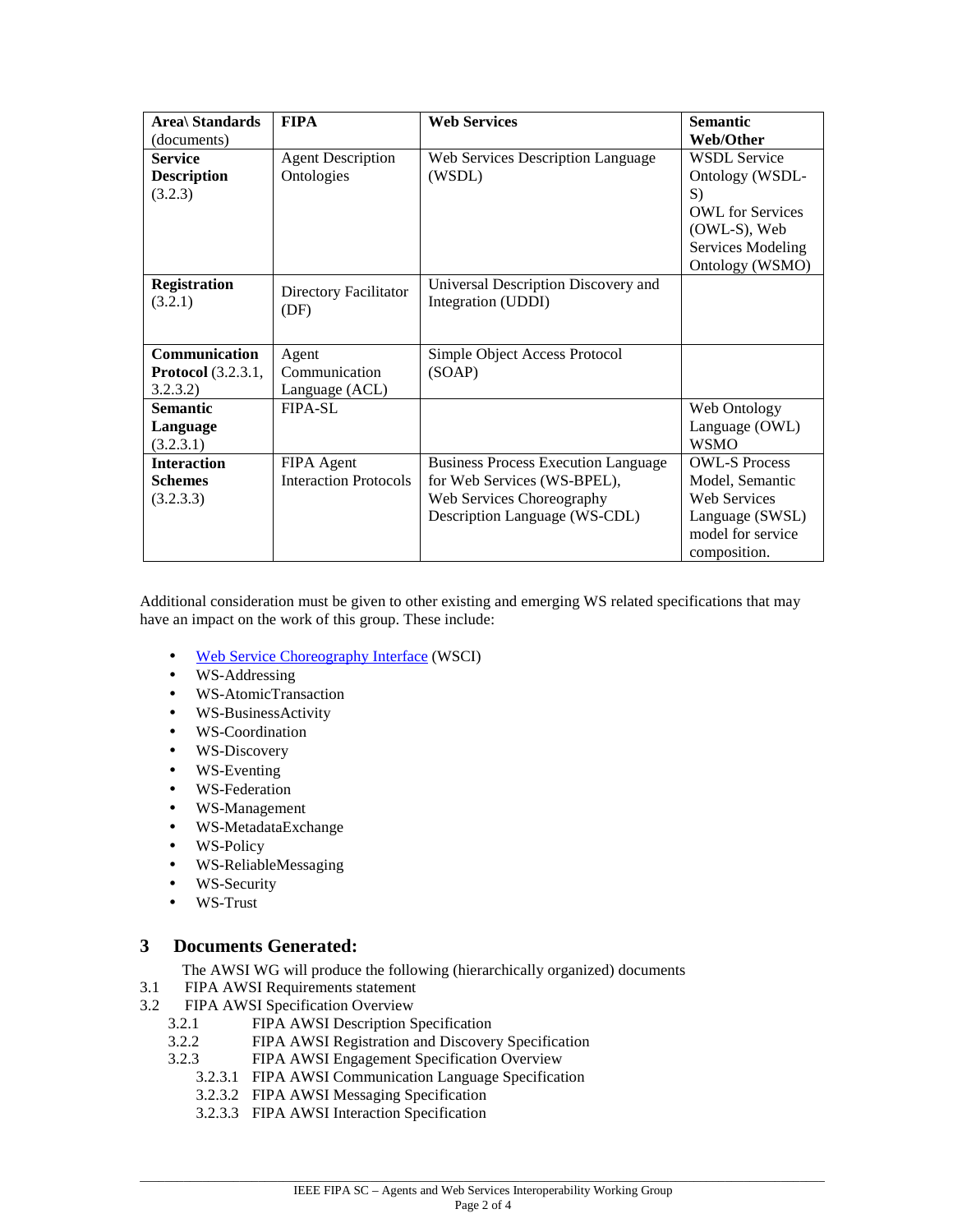| Area\ Standards           | <b>FIPA</b>                  | <b>Web Services</b>                        | <b>Semantic</b>         |
|---------------------------|------------------------------|--------------------------------------------|-------------------------|
| (documents)               |                              |                                            | Web/Other               |
| <b>Service</b>            | <b>Agent Description</b>     | Web Services Description Language          | <b>WSDL Service</b>     |
| <b>Description</b>        | Ontologies                   | (WSDL)                                     | Ontology (WSDL-         |
| (3.2.3)                   |                              |                                            | S)                      |
|                           |                              |                                            | <b>OWL</b> for Services |
|                           |                              |                                            | (OWL-S), Web            |
|                           |                              |                                            | Services Modeling       |
|                           |                              |                                            | Ontology (WSMO)         |
| <b>Registration</b>       | Directory Facilitator        | Universal Description Discovery and        |                         |
| (3.2.1)                   | (DF)                         | Integration (UDDI)                         |                         |
|                           |                              |                                            |                         |
|                           |                              |                                            |                         |
| Communication             | Agent                        | Simple Object Access Protocol              |                         |
| <b>Protocol</b> (3.2.3.1, | Communication                | (SOAP)                                     |                         |
| 3.2.3.2)                  | Language (ACL)               |                                            |                         |
| <b>Semantic</b>           | $FIPA-SL$                    |                                            | Web Ontology            |
| Language                  |                              |                                            | Language (OWL)          |
| (3.2.3.1)                 |                              |                                            | <b>WSMO</b>             |
| <b>Interaction</b>        | FIPA Agent                   | <b>Business Process Execution Language</b> | <b>OWL-S Process</b>    |
| <b>Schemes</b>            | <b>Interaction Protocols</b> | for Web Services (WS-BPEL),                | Model, Semantic         |
| (3.2.3.3)                 |                              | Web Services Choreography                  | <b>Web Services</b>     |
|                           |                              | Description Language (WS-CDL)              | Language (SWSL)         |
|                           |                              |                                            | model for service       |
|                           |                              |                                            | composition.            |

Additional consideration must be given to other existing and emerging WS related specifications that may have an impact on the work of this group. These include:

- Web Service Choreography Interface (WSCI)
- WS-Addressing
- WS-AtomicTransaction
- WS-BusinessActivity
- WS-Coordination
- WS-Discovery
- WS-Eventing
- WS-Federation
- WS-Management
- WS-MetadataExchange
- WS-Policy
- WS-ReliableMessaging
- WS-Security
- WS-Trust

#### **3 Documents Generated:**

- The AWSI WG will produce the following (hierarchically organized) documents
- 3.1 FIPA AWSI Requirements statement
- 3.2 FIPA AWSI Specification Overview
	- 3.2.1 FIPA AWSI Description Specification
	- 3.2.2 FIPA AWSI Registration and Discovery Specification
	- 3.2.3 FIPA AWSI Engagement Specification Overview
		- 3.2.3.1 FIPA AWSI Communication Language Specification
		- 3.2.3.2 FIPA AWSI Messaging Specification
		- 3.2.3.3 FIPA AWSI Interaction Specification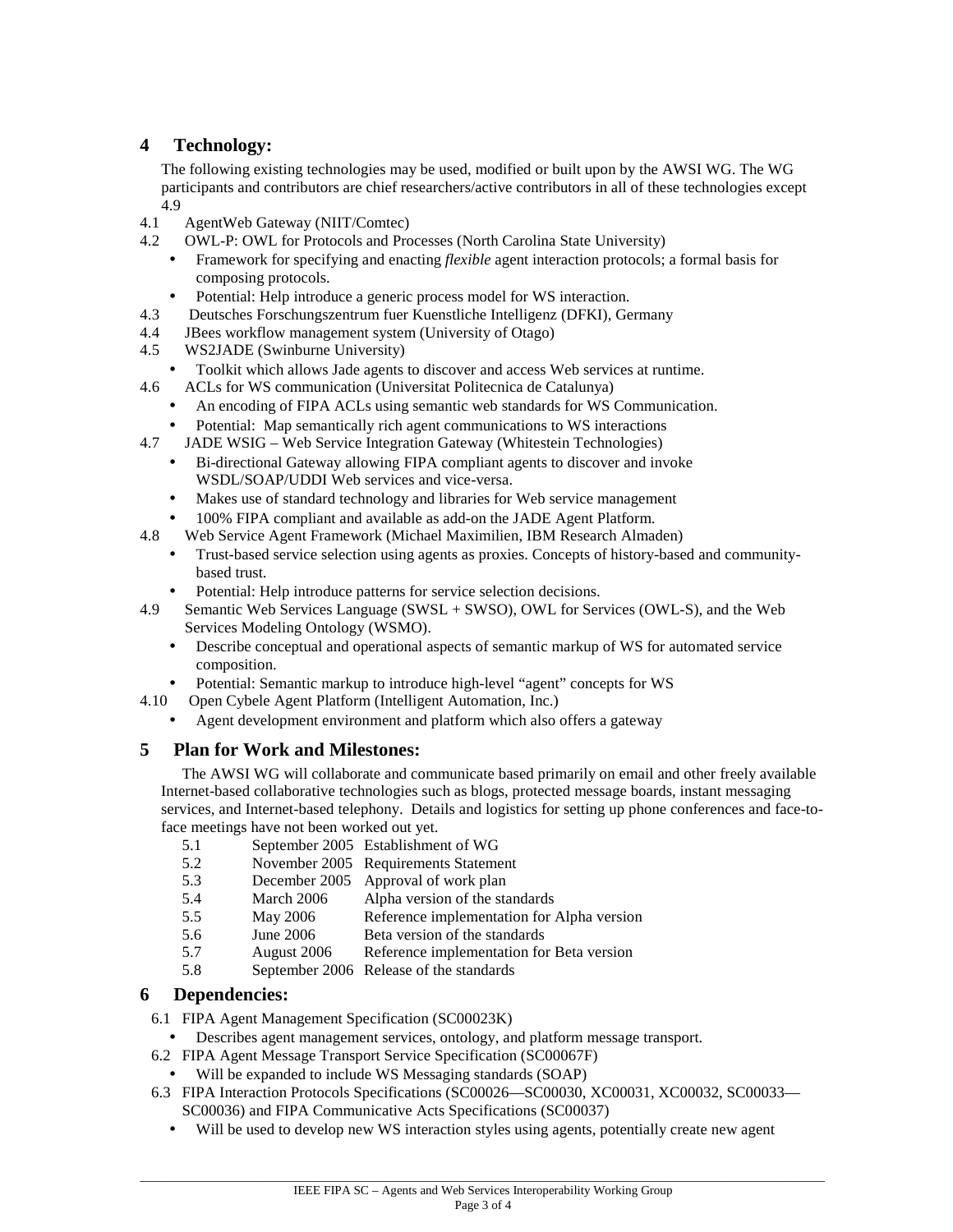## **4 Technology:**

The following existing technologies may be used, modified or built upon by the AWSI WG. The WG participants and contributors are chief researchers/active contributors in all of these technologies except 4.9

- 4.1 AgentWeb Gateway (NIIT/Comtec)
- 4.2 OWL-P: OWL for Protocols and Processes (North Carolina State University)
	- Framework for specifying and enacting *flexible* agent interaction protocols; a formal basis for composing protocols.
	- Potential: Help introduce a generic process model for WS interaction.
- 4.3 Deutsches Forschungszentrum fuer Kuenstliche Intelligenz (DFKI), Germany
- 4.4 JBees workflow management system (University of Otago)
- 4.5 WS2JADE (Swinburne University)
	- Toolkit which allows Jade agents to discover and access Web services at runtime.
- 4.6 ACLs for WS communication (Universitat Politecnica de Catalunya)
	- An encoding of FIPA ACLs using semantic web standards for WS Communication.
	- Potential: Map semantically rich agent communications to WS interactions
- 4.7 JADE WSIG Web Service Integration Gateway (Whitestein Technologies)
	- Bi-directional Gateway allowing FIPA compliant agents to discover and invoke WSDL/SOAP/UDDI Web services and vice-versa.
	- Makes use of standard technology and libraries for Web service management
	- 100% FIPA compliant and available as add-on the JADE Agent Platform.
- 4.8 Web Service Agent Framework (Michael Maximilien, IBM Research Almaden)
	- Trust-based service selection using agents as proxies. Concepts of history-based and communitybased trust.
	- Potential: Help introduce patterns for service selection decisions.
- 4.9 Semantic Web Services Language (SWSL + SWSO), OWL for Services (OWL-S), and the Web Services Modeling Ontology (WSMO).
	- Describe conceptual and operational aspects of semantic markup of WS for automated service composition.
	- Potential: Semantic markup to introduce high-level "agent" concepts for WS
- 4.10 Open Cybele Agent Platform (Intelligent Automation, Inc.)
	- Agent development environment and platform which also offers a gateway

## **5 Plan for Work and Milestones:**

The AWSI WG will collaborate and communicate based primarily on email and other freely available Internet-based collaborative technologies such as blogs, protected message boards, instant messaging services, and Internet-based telephony. Details and logistics for setting up phone conferences and face-toface meetings have not been worked out yet.

- 5.1 September 2005 Establishment of WG
- 5.2 November 2005 Requirements Statement
- 5.3 December 2005 Approval of work plan
- 5.4 March 2006 Alpha version of the standards
- 5.5 May 2006 Reference implementation for Alpha version
- 5.6 June 2006 Beta version of the standards
- 5.7 August 2006 Reference implementation for Beta version
- 5.8 September 2006 Release of the standards

### **6 Dependencies:**

- 6.1 FIPA Agent Management Specification (SC00023K)
	- Describes agent management services, ontology, and platform message transport.
- 6.2 FIPA Agent Message Transport Service Specification (SC00067F)
	- Will be expanded to include WS Messaging standards (SOAP)
- 6.3 FIPA Interaction Protocols Specifications (SC00026—SC00030, XC00031, XC00032, SC00033— SC00036) and FIPA Communicative Acts Specifications (SC00037)
	- Will be used to develop new WS interaction styles using agents, potentially create new agent